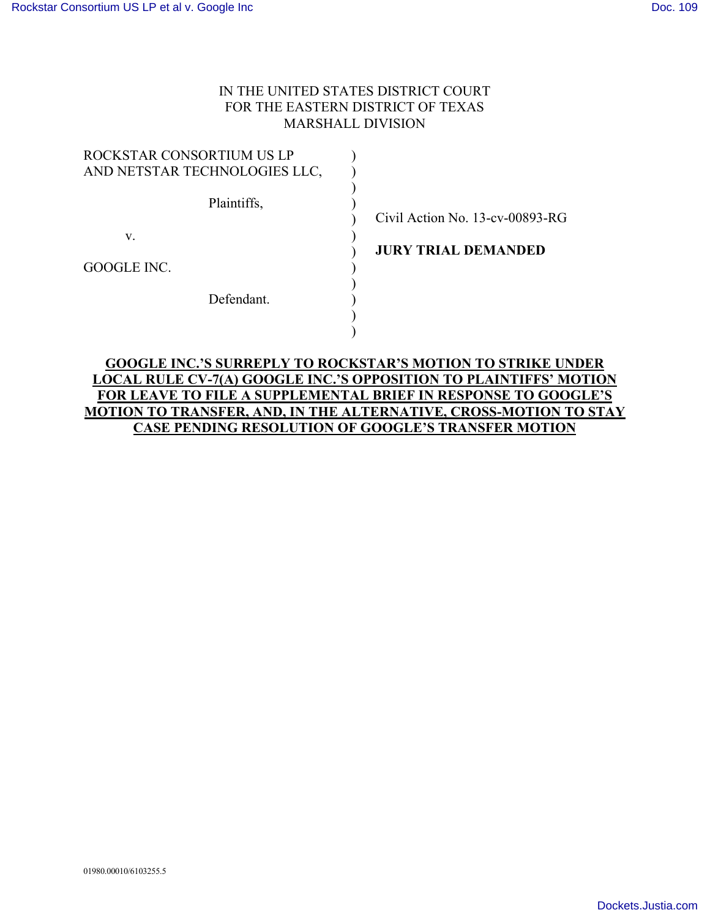## IN THE UNITED STATES DISTRICT COURT FOR THE EASTERN DISTRICT OF TEXAS MARSHALL DIVISION

| ROCKSTAR CONSORTIUM US LP     |  |
|-------------------------------|--|
| AND NETSTAR TECHNOLOGIES LLC, |  |
|                               |  |
| Plaintiffs,                   |  |
|                               |  |
| V                             |  |
|                               |  |
| GOOGLE INC.                   |  |
|                               |  |
| Defendant                     |  |
|                               |  |
|                               |  |

Civil Action No. 13-cv-00893-RG

**JURY TRIAL DEMANDED**

## **GOOGLE INC.'S SURREPLY TO ROCKSTAR'S MOTION TO STRIKE UNDER LOCAL RULE CV-7(A) GOOGLE INC.'S OPPOSITION TO PLAINTIFFS' MOTION FOR LEAVE TO FILE A SUPPLEMENTAL BRIEF IN RESPONSE TO GOOGLE'S MOTION TO TRANSFER, AND, IN THE ALTERNATIVE, CROSS-MOTION TO STAY CASE PENDING RESOLUTION OF GOOGLE'S TRANSFER MOTION**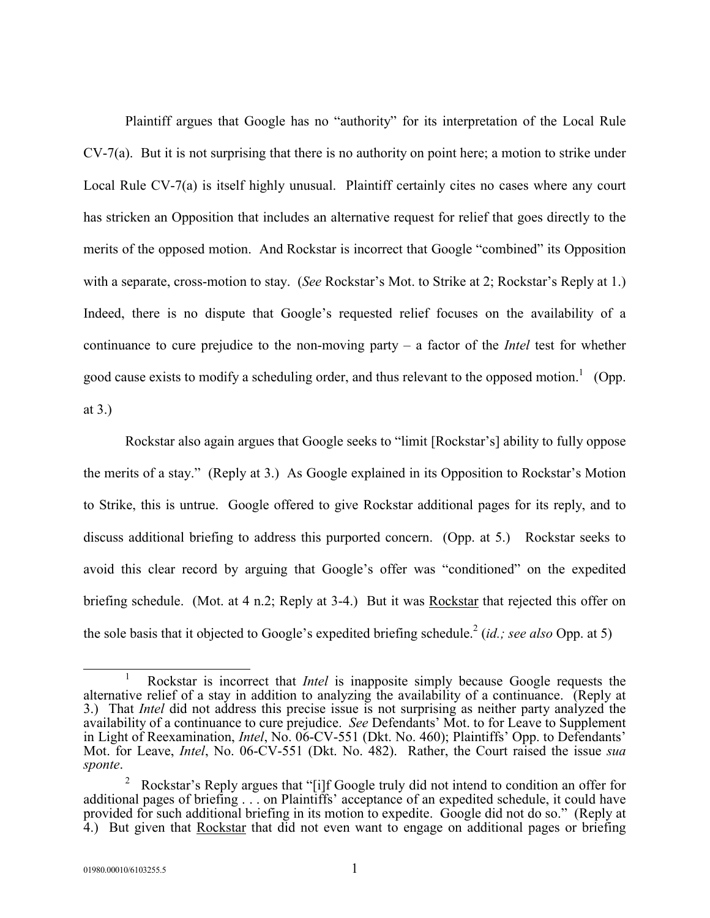Plaintiff argues that Google has no "authority" for its interpretation of the Local Rule CV-7(a). But it is not surprising that there is no authority on point here; a motion to strike under Local Rule CV-7(a) is itself highly unusual. Plaintiff certainly cites no cases where any court has stricken an Opposition that includes an alternative request for relief that goes directly to the merits of the opposed motion. And Rockstar is incorrect that Google "combined" its Opposition with a separate, cross-motion to stay. (*See* Rockstar's Mot. to Strike at 2; Rockstar's Reply at 1.) Indeed, there is no dispute that Google's requested relief focuses on the availability of a continuance to cure prejudice to the non-moving party – a factor of the *Intel* test for whether good cause exists to modify a scheduling order, and thus relevant to the opposed motion.<sup>1</sup> (Opp. at 3.)

Rockstar also again argues that Google seeks to "limit [Rockstar's] ability to fully oppose the merits of a stay." (Reply at 3.) As Google explained in its Opposition to Rockstar's Motion to Strike, this is untrue. Google offered to give Rockstar additional pages for its reply, and to discuss additional briefing to address this purported concern. (Opp. at 5.) Rockstar seeks to avoid this clear record by arguing that Google's offer was "conditioned" on the expedited briefing schedule. (Mot. at 4 n.2; Reply at 3-4.) But it was Rockstar that rejected this offer on the sole basis that it objected to Google's expedited briefing schedule. 2 (*id.; see also* Opp. at 5)

 $\overline{a}$ 1 Rockstar is incorrect that *Intel* is inapposite simply because Google requests the alternative relief of a stay in addition to analyzing the availability of a continuance. (Reply at 3.) That *Intel* did not address this precise issue is not surprising as neither party analyzed the availability of a continuance to cure prejudice. *See* Defendants' Mot. to for Leave to Supplement in Light of Reexamination, *Intel*, No. 06-CV-551 (Dkt. No. 460); Plaintiffs' Opp. to Defendants' Mot. for Leave, *Intel*, No. 06-CV-551 (Dkt. No. 482). Rather, the Court raised the issue *sua sponte*.

<sup>&</sup>lt;sup>2</sup> Rockstar's Reply argues that "[i]f Google truly did not intend to condition an offer for additional pages of briefing . . . on Plaintiffs' acceptance of an expedited schedule, it could have provided for such additional briefing in its motion to expedite. Google did not do so." (Reply at 4.) But given that Rockstar that did not even want to engage on additional pages or briefing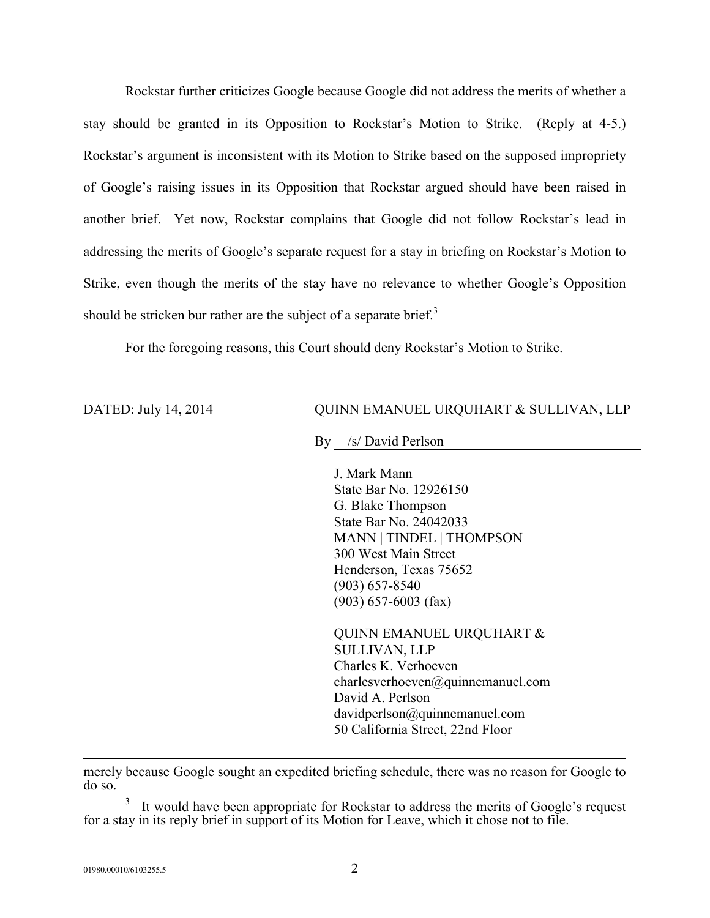Rockstar further criticizes Google because Google did not address the merits of whether a stay should be granted in its Opposition to Rockstar's Motion to Strike. (Reply at 4-5.) Rockstar's argument is inconsistent with its Motion to Strike based on the supposed impropriety of Google's raising issues in its Opposition that Rockstar argued should have been raised in another brief. Yet now, Rockstar complains that Google did not follow Rockstar's lead in addressing the merits of Google's separate request for a stay in briefing on Rockstar's Motion to Strike, even though the merits of the stay have no relevance to whether Google's Opposition should be stricken bur rather are the subject of a separate brief.<sup>3</sup>

For the foregoing reasons, this Court should deny Rockstar's Motion to Strike.

DATED: July 14, 2014 QUINN EMANUEL URQUHART & SULLIVAN, LLP

By /s/ David Perlson

J. Mark Mann State Bar No. 12926150 G. Blake Thompson State Bar No. 24042033 MANN | TINDEL | THOMPSON 300 West Main Street Henderson, Texas 75652 (903) 657-8540 (903) 657-6003 (fax)

QUINN EMANUEL URQUHART & SULLIVAN, LLP Charles K. Verhoeven charlesverhoeven@quinnemanuel.com David A. Perlson davidperlson@quinnemanuel.com 50 California Street, 22nd Floor

merely because Google sought an expedited briefing schedule, there was no reason for Google to do so.

3 It would have been appropriate for Rockstar to address the merits of Google's request for a stay in its reply brief in support of its Motion for Leave, which it chose not to file.

 $\overline{a}$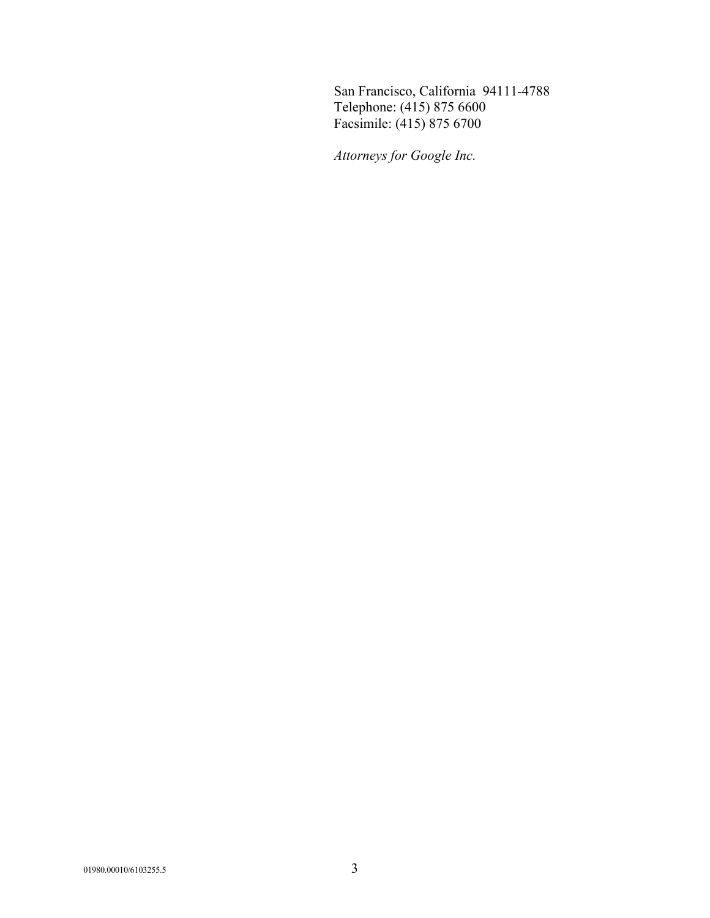San Francisco, California 94111-4788 Telephone: (415) 875 6600 Facsimile: (415) 875 6700

*Attorneys for Google Inc.*